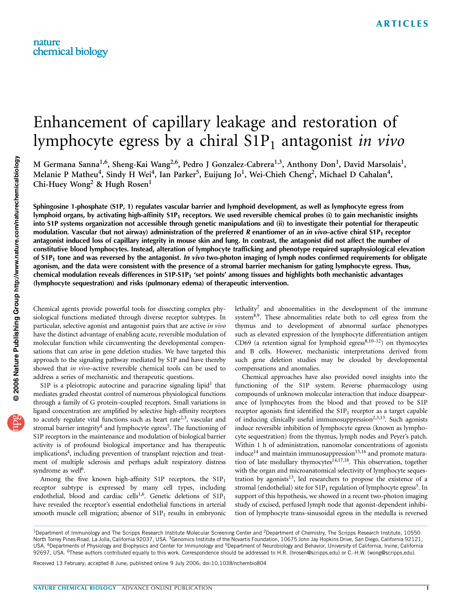# Enhancement of capillary leakage and restoration of lymphocyte egress by a chiral  $S1P_1$  antagonist in vivo

M Germana Sanna<sup>1,6</sup>, Sheng-Kai Wang<sup>2,6</sup>, Pedro J Gonzalez-Cabrera<sup>1,3</sup>, Anthony Don<sup>1</sup>, David Marsolais<sup>1</sup>, Melanie P Matheu<sup>4</sup>, Sindy H Wei<sup>4</sup>, Ian Parker<sup>5</sup>, Euijung Jo<sup>1</sup>, Wei-Chieh Cheng<sup>2</sup>, Michael D Cahalan<sup>4</sup>, Chi-Huey Wong<sup>2</sup> & Hugh Rosen<sup>1</sup>

Sphingosine 1-phosphate (S1P, 1) regulates vascular barrier and lymphoid development, as well as lymphocyte egress from lymphoid organs, by activating high-affinity  $S1P_1$  receptors. We used reversible chemical probes (i) to gain mechanistic insights into S1P systems organization not accessible through genetic manipulations and (ii) to investigate their potential for therapeutic modulation. Vascular (but not airway) administration of the preferred R enantiomer of an in vivo–active chiral S1P<sub>1</sub> receptor antagonist induced loss of capillary integrity in mouse skin and lung. In contrast, the antagonist did not affect the number of constitutive blood lymphocytes. Instead, alteration of lymphocyte trafficking and phenotype required supraphysiological elevation of  $S1P_1$  tone and was reversed by the antagonist. In vivo two-photon imaging of lymph nodes confirmed requirements for obligate agonism, and the data were consistent with the presence of a stromal barrier mechanism for gating lymphocyte egress. Thus, chemical modulation reveals differences in S1P-S1P<sub>1</sub> 'set points' among tissues and highlights both mechanistic advantages (lymphocyte sequestration) and risks (pulmonary edema) of therapeutic intervention.

Chemical agents provide powerful tools for dissecting complex physiological functions mediated through diverse receptor subtypes. In particular, selective agonist and antagonist pairs that are active in vivo have the distinct advantage of enabling acute, reversible modulation of molecular function while circumventing the developmental compensations that can arise in gene deletion studies. We have targeted this approach to the signaling pathway mediated by S1P and have thereby showed that *in vivo*–active reversible chemical tools can be used to address a series of mechanistic and therapeutic questions.

S1P is a pleiotropic autocrine and paracrine signaling lipid<sup>1</sup> that mediates graded rheostat control of numerous physiological functions through a family of G protein–coupled receptors. Small variations in ligand concentration are amplified by selective high-affinity receptors to acutely regulate vital functions such as heart rate<sup>2,3</sup>, vascular and stromal barrier integrity<sup>4</sup> and lymphocyte egress<sup>5</sup>. The functioning of S1P receptors in the maintenance and modulation of biological barrier activity is of profound biological importance and has therapeutic implications<sup>4</sup>, including prevention of transplant rejection and treatment of multiple sclerosis and perhaps adult respiratory distress syndrome as well<sup>6</sup>.

Among the five known high-affinity S1P receptors, the  $S1P_1$ receptor subtype is expressed by many cell types, including endothelial, blood and cardiac cells<sup>1,6</sup>. Genetic deletions of  $S1P_1$ have revealed the receptor's essential endothelial functions in arterial smooth muscle cell migration; absence of  $S1P_1$  results in embryonic lethality7 and abnormalities in the development of the immune system<sup>8,9</sup>. These abnormalities relate both to cell egress from the thymus and to development of abnormal surface phenotypes such as elevated expression of the lymphocyte differentiation antigen CD69 (a retention signal for lymphoid egress<sup>8,10-12</sup>) on thymocytes and B cells. However, mechanistic interpretations derived from such gene deletion studies may be clouded by developmental compensations and anomalies.

Chemical approaches have also provided novel insights into the functioning of the S1P system. Reverse pharmacology using compounds of unknown molecular interaction that induce disappearance of lymphocytes from the blood and that proved to be S1P receptor agonists first identified the  $S1P_1$  receptor as a target capable of inducing clinically useful immunosuppression<sup>2,3,13</sup>. Such agonists induce reversible inhibition of lymphocyte egress (known as lymphocyte sequestration) from the thymus, lymph nodes and Peyer's patch. Within 1 h of administration, nanomolar concentrations of agonists  $induce<sup>14</sup>$  and maintain immunosuppression $15,16$  and promote maturation of late medullary thymocytes<sup>14,17,18</sup>. This observation, together with the organ and microanatomical selectivity of lymphocyte sequestration by agonists<sup>13</sup>, led researchers to propose the existence of a stromal (endothelial) site for  $\text{S1P}_1$  regulation of lymphocyte egress<sup>5</sup>. In support of this hypothesis, we showed in a recent two-photon imaging study of excised, perfused lymph node that agonist-dependent inhibition of lymphocyte trans-sinusoidal egress in the medulla is reversed

Received 13 February; accepted 8 June; published online 9 July 2006; doi:10.1038/nchembio804

<sup>&</sup>lt;sup>1</sup>Department of Immunology and The Scripps Research Institute Molecular Screening Center and <sup>2</sup>Department of Chemistry, The Scripps Research Institute, 10550 North Torrey Pines Road, La Jolla, California 92037, USA. <sup>3</sup>Genomics Institute of the Novartis Foundation, 10675 John Jay Hopkins Drive, San Diego, California 92121, USA. <sup>4</sup>Departments of Physiology and Biophysics and Center for Immunology and <sup>5</sup>Department of Neurobiology and Behavior, University of California, Irvine, California 92697, USA. <sup>6</sup>These authors contributed equally to this work. Correspondence should be addressed to H.R. (hrosen@scripps.edu) or C.-H.W. (wong@scripps.edu).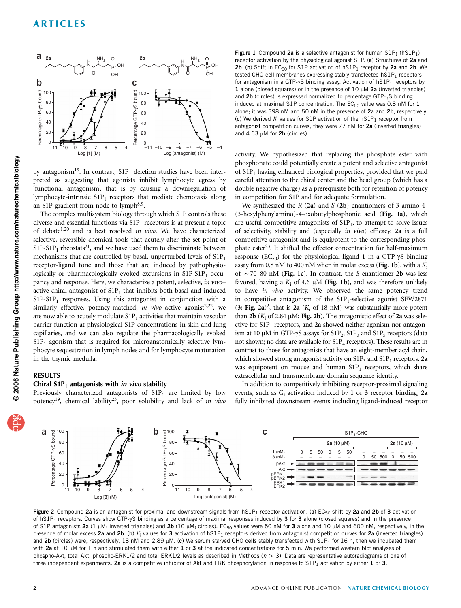

by antagonism<sup>19</sup>. In contrast,  $S1P_1$  deletion studies have been interpreted as suggesting that agonists inhibit lymphocyte egress by 'functional antagonism', that is by causing a downregulation of lymphocyte-intrinsic  $S1P_1$  receptors that mediate chemotaxis along an S1P gradient from node to lymph<sup>8,9</sup>.

The complex multisystem biology through which S1P controls these diverse and essential functions via  $S1P_1$  receptors is at present a topic of debate<sup>1,20</sup> and is best resolved in vivo. We have characterized selective, reversible chemical tools that acutely alter the set point of  $S1P-S1P<sub>1</sub>$  rheostats<sup>21</sup>, and we have used them to discriminate between mechanisms that are controlled by basal, unperturbed levels of  $S1P_1$ receptor-ligand tone and those that are induced by pathophysiologically or pharmacologically evoked excursions in  $S1P-S1P<sub>1</sub>$  occupancy and response. Here, we characterize a potent, selective, in vivoactive chiral antagonist of  $S1P_1$  that inhibits both basal and induced  $S1P-S1P<sub>1</sub>$  responses. Using this antagonist in conjunction with a similarly effective, potency-matched, in vivo–active agonist<sup>2,22</sup>, we are now able to acutely modulate  $S1P_1$  activities that maintain vascular barrier function at physiological S1P concentrations in skin and lung capillaries, and we can also regulate the pharmacologically evoked  $S1P<sub>1</sub>$  agonism that is required for microanatomically selective lymphocyte sequestration in lymph nodes and for lymphocyte maturation in the thymic medulla.

# RESULTS

# Chiral  $S1P_1$  antagonists with in vivo stability

Previously characterized antagonists of  $S1P_1$  are limited by low potency<sup>19</sup>, chemical lability<sup>23</sup>, poor solubility and lack of in vivo

Figure 1 Compound 2a is a selective antagonist for human  $S1P_1$  (h $S1P_1$ ) receptor activation by the physiological agonist S1P. (a) Structures of 2a and **2b.** (b) Shift in EC<sub>50</sub> for S1P activation of  $hS1P_1$  receptor by 2a and 2b. We tested CHO cell membranes expressing stably transfected  $hS1P_1$  receptors for antagonism in a GTP- $\gamma$ S binding assay. Activation of hS1P<sub>1</sub> receptors by 1 alone (closed squares) or in the presence of  $10 \mu M$  2a (inverted triangles) and  $2b$  (circles) is expressed normalized to percentage GTP- $\gamma$ S binding induced at maximal S1P concentration. The  $EC_{50}$  value was 0.8 nM for  $1$ alone; it was 398 nM and 50 nM in the presence of 2a and 2b, respectively. (c) We derived  $K_i$  values for S1P activation of the hS1P<sub>1</sub> receptor from antagonist competition curves; they were 77 nM for 2a (inverted triangles) and  $4.63 \mu M$  for  $2b$  (circles).

activity. We hypothesized that replacing the phosphate ester with phosphonate could potentially create a potent and selective antagonist of S1P<sub>1</sub> having enhanced biological properties, provided that we paid careful attention to the chiral center and the head group (which has a double negative charge) as a prerequisite both for retention of potency in competition for S1P and for adequate formulation.

We synthesized the  $R$  (2a) and  $S$  (2b) enantiomers of 3-amino-4-(3-hexylphenylamino)-4-oxobutylphosphonic acid (Fig. 1a), which are useful competitive antagonists of  $S1P_1$ , to attempt to solve issues of selectivity, stability and (especially in vivo) efficacy. 2a is a full competitive antagonist and is equipotent to the corresponding phosphate ester<sup>23</sup>. It shifted the effector concentration for half-maximum response (EC<sub>50</sub>) for the physiological ligand 1 in a GTP- $\gamma$ S binding assay from 0.8 nM to 400 nM when in molar excess (Fig. 1b), with a  $K_i$ of  $\sim$  70–80 nM (Fig. 1c). In contrast, the S enantiomer 2b was less favored, having a  $K_i$  of 4.6  $\mu$ M (Fig. 1b), and was therefore unlikely to have *in vivo* activity. We observed the same potency trend in competitive antagonism of the  $S1P_1$ -selective agonist SEW2871 (3; Fig. 2a)<sup>2</sup>, that is 2a ( $K_i$  of 18 nM) was substantially more potent than  $2b$  ( $K_i$  of 2.84  $\mu$ M; Fig. 2b). The antagonistic effect of 2a was selective for  $S1P_1$  receptors, and 2a showed neither agonism nor antagonism at 10  $\mu$ M in GTP- $\gamma$ S assays for S1P<sub>2</sub>, S1P<sub>3</sub> and S1P<sub>5</sub> receptors (data not shown; no data are available for  $S1P_4$  receptors). These results are in contrast to those for antagonists that have an eight-member acyl chain, which showed strong antagonist activity on  $S1P_3$  and  $S1P_1$  receptors. 2a was equipotent on mouse and human  $S1P_1$  receptors, which share extracellular and transmembrane domain sequence identity.

In addition to competitively inhibiting receptor-proximal signaling events, such as  $G_i$  activation induced by 1 or 3 receptor binding, 2a fully inhibited downstream events including ligand-induced receptor



Figure 2 Compound 2a is an antagonist for proximal and downstream signals from  $hSP_1$  receptor activation. (a)  $EC_{50}$  shift by 2a and 2b of 3 activation of hS1P<sub>1</sub> receptors. Curves show GTP- $\gamma$ S binding as a percentage of maximal responses induced by 3 for 3 alone (closed squares) and in the presence of S1P antagonists 2a (1  $\mu$ M; inverted triangles) and 2b (10  $\mu$ M; circles). EC<sub>50</sub> values were 50 nM for 3 alone and 10  $\mu$ M and 600 nM, respectively, in the presence of molar excess 2a and 2b. (b)  $K_i$  values for 3 activation of  $hS1P_1$  receptors derived from antagonist competition curves for 2a (inverted triangles) and 2b (circles) were, respectively, 18 nM and 2.89  $\mu$ M. (c) We serum starved CHO cells stably transfected with S1P<sub>1</sub> for 16 h, then we incubated them with 2a at 10  $\mu$ M for 1 h and stimulated them with either 1 or 3 at the indicated concentrations for 5 min. We performed western blot analyses of phospho-Akt, total Akt, phospho-ERK1/2 and total ERK1/2 levels as described in Methods ( $n \geq 3$ ). Data are representative autoradiograms of one of three independent experiments. 2a is a competitive inhibitor of Akt and ERK phosphorylation in response to S1P<sub>1</sub> activation by either 1 or 3.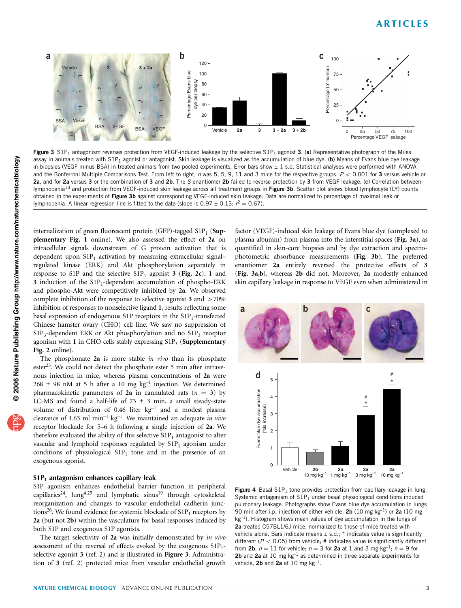

Figure 3  $S1P_1$  antagonism reverses protection from VEGF-induced leakage by the selective  $S1P_1$  agonist 3. (a) Representative photograph of the Miles assay in animals treated with S1P<sub>1</sub> agonist or antagonist. Skin leakage is visualized as the accumulation of blue dye. (b) Means of Evans blue dye leakage in biopsies (VEGF minus BSA) in treated animals from two pooled experiments. Error bars show ± 1 s.d. Statistical analyses were performed with ANOVA and the Bonferroni Multiple Comparisons Test. From left to right, n was 5, 5, 9, 11 and 3 mice for the respective groups.  $P < 0.001$  for 3 versus vehicle or 2a, and for 2a versus 3 or the combination of 3 and 2b. The S enantiomer 2b failed to reverse protection by 3 from VEGF leakage. (c) Correlation between lymphopenia<sup>13</sup> and protection from VEGF-induced skin leakage across all treatment groups in Figure 3b. Scatter plot shows blood lymphocyte (LY) counts obtained in the experiments of Figure 3b against corresponding VEGF-induced skin leakage. Data are normalized to percentage of maximal leak or lymphopenia. A linear regression line is fitted to the data (slope is 0.97  $\pm$  0.13;  $r^2 = 0.67$ ).

internalization of green fluorescent protein (GFP)-tagged  $S1P_1$  (Supplementary Fig. 1 online). We also assessed the effect of 2a on intracellular signals downstream of G protein activation that is dependent upon  $S1P_1$  activation by measuring extracellular signalregulated kinase (ERK) and Akt phosphorylation separately in response to S1P and the selective  $S1P_1$  agonist 3 (Fig. 2c). 1 and  $3$  induction of the  $S1P_1$ -dependent accumulation of phospho-ERK and phospho-Akt were competitively inhibited by 2a. We observed complete inhibition of the response to selective agonist  $3$  and  $>70\%$ inhibition of responses to nonselective ligand 1, results reflecting some basal expression of endogenous S1P receptors in the  $S1P_1$ -transfected Chinese hamster ovary (CHO) cell line. We saw no suppression of  $S1P_3$ -dependent ERK or Akt phosphorylation and no  $S1P_3$  receptor agonism with 1 in CHO cells stably expressing  $S1P_3$  (Supplementary Fig. 2 online).

The phosphonate  $2a$  is more stable in vivo than its phosphate ester<sup>23</sup>. We could not detect the phosphate ester 5 min after intravenous injection in mice, whereas plasma concentrations of 2a were  $268 \pm 98$  nM at 5 h after a 10 mg kg<sup>-1</sup> injection. We determined pharmacokinetic parameters of 2a in cannulated rats ( $n = 3$ ) by LC-MS and found a half-life of 73  $\pm$  3 min, a small steady-state volume of distribution of 0.46 liter  $kg^{-1}$  and a modest plasma clearance of 4.63 ml min<sup>-1</sup> kg<sup>-1</sup>. We maintained an adequate in vivo receptor blockade for 5–6 h following a single injection of 2a. We therefore evaluated the ability of this selective  $S1P_1$  antagonist to alter vascular and lymphoid responses regulated by  $S1P_1$  agonism under conditions of physiological  $S1P_1$  tone and in the presence of an exogenous agonist.

#### $S1P_1$  antagonism enhances capillary leak

S1P agonism enhances endothelial barrier function in peripheral capillaries<sup>24</sup>, lung<sup>4,25</sup> and lymphatic sinus<sup>19</sup> through cytoskeletal reorganization and changes to vascular endothelial cadherin junctions<sup>26</sup>. We found evidence for systemic blockade of  $S1P_1$  receptors by 2a (but not 2b) within the vasculature for basal responses induced by both S1P and exogenous S1P agonists.

The target selectivity of 2a was initially demonstrated by in vivo assessment of the reversal of effects evoked by the exogenous  $S1P_1$ selective agonist 3 (ref. 2) and is illustrated in Figure 3. Administration of 3 (ref. 2) protected mice from vascular endothelial growth factor (VEGF)-induced skin leakage of Evans blue dye (complexed to plasma albumin) from plasma into the interstitial spaces (Fig. 3a), as quantified in skin-core biopsies and by dye extraction and spectrophotometric absorbance measurements (Fig. 3b). The preferred enantiomer 2a entirely reversed the protective effects of 3 (Fig. 3a,b), whereas 2b did not. Moreover, 2a modestly enhanced skin capillary leakage in response to VEGF even when administered in



Figure 4 Basal  $S1P_1$  tone provides protection from capillary leakage in lung. Systemic antagonism of  $S1P_1$  under basal physiological conditions induced pulmonary leakage. Photographs show Evans blue dye accumulation in lungs 90 min after i.p. injection of either vehicle,  $2b$  (10 mg kg<sup>-1</sup>) or  $2a$  (10 mg  $kg<sup>-1</sup>$ ). Histogram shows mean values of dye accumulation in the lungs of 2a-treated C57BL1/6J mice, normalized to those of mice treated with vehicle alone. Bars indicate means  $\pm$  s.d.;  $*$  indicates value is significantly different ( $P < 0.05$ ) from vehicle; # indicates value is significantly different from 2b.  $n = 11$  for vehicle;  $n = 3$  for 2a at 1 and 3 mg kg<sup>-1</sup>;  $n = 9$  for 2b and 2a at 10 mg  $kg^{-1}$  as determined in three separate experiments for vehicle, 2b and 2a at 10 mg  $kg^{-1}$ .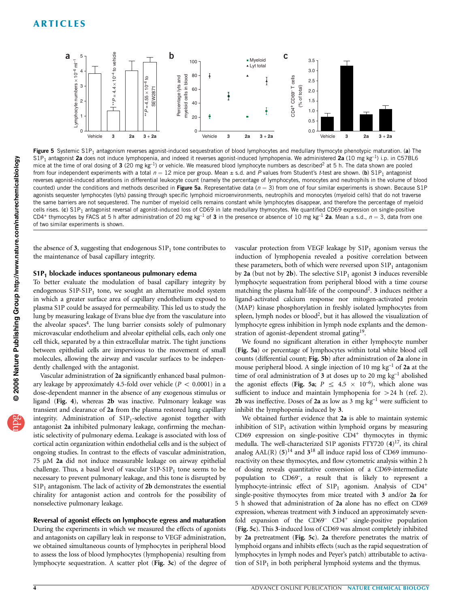

Figure 5 Systemic S1P<sub>1</sub> antagonism reverses agonist-induced sequestration of blood lymphocytes and medullary thymocyte phenotypic maturation. (a) The  $S1P_1$  antagonist 2a does not induce lymphopenia, and indeed it reverses agonist-induced lymphopenia. We administered 2a (10 mg kg<sup>-1</sup>) i.p. in C57BL6 mice at the time of oral dosing of 3 (20 mg kg<sup>-1</sup>) or vehicle. We measured blood lymphocyte numbers as described<sup>2</sup> at 5 h. The data shown are pooled from four independent experiments with a total  $n = 12$  mice per group. Mean  $\pm$  s.d. and P values from Student's t-test are shown. (b) S1P<sub>1</sub> antagonist reverses agonist-induced alterations in differential leukocyte count (namely the percentage of lymphocytes, monocytes and neutrophils in the volume of blood counted) under the conditions and methods described in Figure 5a. Representative data ( $n = 3$ ) from one of four similar experiments is shown. Because S1P agonists sequester lymphocytes (lyts) passing through specific lymphoid microenvironments, neutrophils and monocytes (myeloid cells) that do not traverse the same barriers are not sequestered. The number of myeloid cells remains constant while lymphocytes disappear, and therefore the percentage of myeloid cells rises. (c) S1P<sub>1</sub> antagonist reversal of agonist-induced loss of CD69 in late medullary thymocytes. We quantified CD69 expression on single-positive CD4+ thymocytes by FACS at 5 h after administration of 20 mg kg<sup>-1</sup> of 3 in the presence or absence of 10 mg kg<sup>-1</sup> 2a. Mean ± s.d.,  $n = 3$ , data from one of two similar experiments is shown.

the absence of 3, suggesting that endogenous  $S1P_1$  tone contributes to the maintenance of basal capillary integrity.

# S1P1 blockade induces spontaneous pulmonary edema

To better evaluate the modulation of basal capillary integrity by endogenous  $S1P-S1P_1$  tone, we sought an alternative model system in which a greater surface area of capillary endothelium exposed to plasma S1P could be assayed for permeability. This led us to study the lung by measuring leakage of Evans blue dye from the vasculature into the alveolar spaces<sup>4</sup>. The lung barrier consists solely of pulmonary microvascular endothelium and alveolar epithelial cells, each only one cell thick, separated by a thin extracellular matrix. The tight junctions between epithelial cells are impervious to the movement of small molecules, allowing the airway and vascular surfaces to be independently challenged with the antagonist.

Vascular administration of 2a significantly enhanced basal pulmonary leakage by approximately 4.5-fold over vehicle ( $P < 0.0001$ ) in a dose-dependent manner in the absence of any exogenous stimulus or ligand (Fig. 4), whereas 2b was inactive. Pulmonary leakage was transient and clearance of 2a from the plasma restored lung capillary integrity. Administration of  $S1P_1$ -selective agonist together with antagonist 2a inhibited pulmonary leakage, confirming the mechanistic selectivity of pulmonary edema. Leakage is associated with loss of cortical actin organization within endothelial cells and is the subject of ongoing studies. In contrast to the effects of vascular administration,  $75 \mu M$  2a did not induce measurable leakage on airway epithelial challenge. Thus, a basal level of vascular  $S1P-S1P<sub>1</sub>$  tone seems to be necessary to prevent pulmonary leakage, and this tone is disrupted by  $S1P<sub>1</sub>$  antagonism. The lack of activity of 2b demonstrates the essential chirality for antagonist action and controls for the possibility of nonselective pulmonary leakage.

## Reversal of agonist effects on lymphocyte egress and maturation During the experiments in which we measured the effects of agonists

and antagonists on capillary leak in response to VEGF administration, we obtained simultaneous counts of lymphocytes in peripheral blood to assess the loss of blood lymphocytes (lymphopenia) resulting from lymphocyte sequestration. A scatter plot (Fig. 3c) of the degree of

vascular protection from VEGF leakage by  $S1P_1$  agonism versus the induction of lymphopenia revealed a positive correlation between these parameters, both of which were reversed upon  $S1P_1$  antagonism by 2a (but not by 2b). The selective  $S1P_1$  agonist 3 induces reversible lymphocyte sequestration from peripheral blood with a time course matching the plasma half-life of the compound<sup>2</sup>.  $3$  induces neither a ligand-activated calcium response nor mitogen-activated protein (MAP) kinase phosphorylation in freshly isolated lymphocytes from spleen, lymph nodes or  $blood^2$ , but it has allowed the visualization of lymphocyte egress inhibition in lymph node explants and the demonstration of agonist-dependent stromal gating<sup>19</sup>.

We found no significant alteration in either lymphocyte number (Fig. 5a) or percentage of lymphocytes within total white blood cell counts (differential count; Fig. 5b) after administration of 2a alone in mouse peripheral blood. A single injection of 10 mg  $kg^{-1}$  of 2a at the time of oral administration of  $3$  at doses up to 20 mg  $kg^{-1}$  abolished the agonist effects (Fig. 5a;  $P \leq 4.5 \times 10^{-6}$ ), which alone was sufficient to induce and maintain lymphopenia for  $> 24$  h (ref. 2). 2b was ineffective. Doses of 2a as low as 3 mg  $kg^{-1}$  were sufficient to inhibit the lymphopenia induced by 3.

We obtained further evidence that 2a is able to maintain systemic inhibition of  $\text{S1P}_1$  activation within lymphoid organs by measuring CD69 expression on single-positive  $CD4^+$  thymocytes in thymic medulla. The well-characterized S1P agonists FTY720  $(4)^{17}$ , its chiral analog AAL(R)  $(5)^{14}$  and  $3^{18}$  all induce rapid loss of CD69 immunoreactivity on these thymocytes, and flow cytometric analysis within 2 h of dosing reveals quantitative conversion of a CD69-intermediate population to CD69–, a result that is likely to represent a lymphocyte-intrinsic effect of  $S1P_1$  agonism. Analysis of  $CD4^+$ single-positive thymocytes from mice treated with 3 and/or 2a for 5 h showed that administration of 2a alone has no effect on CD69 expression, whereas treatment with 3 induced an approximately sevenfold expansion of the  $CD69<sup>-</sup>$  CD4<sup>+</sup> single-positive population (Fig. 5c). This 3-induced loss of CD69 was almost completely inhibited by 2a pretreatment (Fig. 5c). 2a therefore penetrates the matrix of lymphoid organs and inhibits effects (such as the rapid sequestration of lymphocytes in lymph nodes and Peyer's patch) attributable to activation of  $S1P_1$  in both peripheral lymphoid systems and the thymus.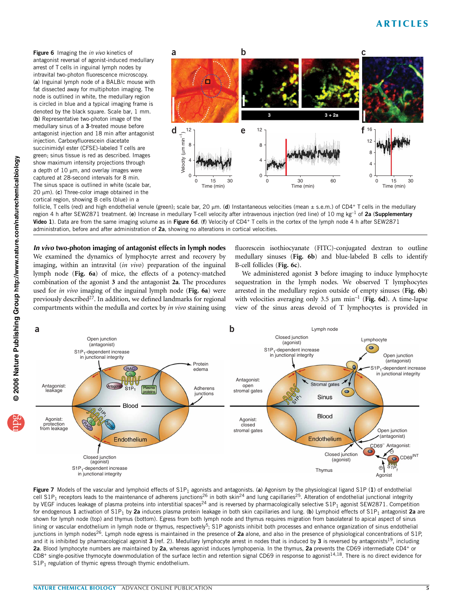Figure 6 Imaging the in vivo kinetics of antagonist reversal of agonist-induced medullary arrest of T cells in inguinal lymph nodes by intravital two-photon fluorescence microscopy. (a) Inguinal lymph node of a BALB/c mouse with fat dissected away for multiphoton imaging. The node is outlined in white, the medullary region is circled in blue and a typical imaging frame is denoted by the black square. Scale bar, 1 mm. (b) Representative two-photon image of the medullary sinus of a 3-treated mouse before antagonist injection and 18 min after antagonist injection. Carboxyfluorescein diacetate succinimidyl ester (CFSE)-labeled T cells are green; sinus tissue is red as described. Images show maximum intensity projections through a depth of  $10 \mu m$ , and overlay images were captured at 28-second intervals for 8 min. The sinus space is outlined in white (scale bar, 20  $\mu$ m). (c) Three-color image obtained in the cortical region, showing B cells (blue) in a



follicle, T cells (red) and high endothelial venule (green); scale bar, 20  $\mu$ m. (d) Instantaneous velocities (mean  $\pm$  s.e.m.) of CD4+ T cells in the medullary region 4 h after SEW2871 treatment. (e) Increase in medullary T-cell velocity after intravenous injection (red line) of 10 mg kg<sup>-1</sup> of 2a (Supplementary Video 1). Data are from the same imaging volume as in Figure 6d. (f) Velocity of CD4+ T cells in the cortex of the lymph node 4 h after SEW2871 administration, before and after administration of 2a, showing no alterations in cortical velocities.

In vivo two-photon imaging of antagonist effects in lymph nodes We examined the dynamics of lymphocyte arrest and recovery by imaging, within an intravital  $(in$  vivo) preparation of the inguinal lymph node (Fig. 6a) of mice, the effects of a potency-matched combination of the agonist 3 and the antagonist 2a. The procedures used for in vivo imaging of the inguinal lymph node (Fig. 6a) were previously described<sup>27</sup>. In addition, we defined landmarks for regional compartments within the medulla and cortex by in vivo staining using fluorescein isothiocyanate (FITC)-conjugated dextran to outline medullary sinuses (Fig. 6b) and blue-labeled B cells to identify B-cell follicles (Fig. 6c).

We administered agonist 3 before imaging to induce lymphocyte sequestration in the lymph nodes. We observed T lymphocytes arrested in the medullary region outside of empty sinuses (Fig. 6b) with velocities averaging only 3.5  $\mu$ m min<sup>-1</sup> (Fig. 6d). A time-lapse view of the sinus areas devoid of T lymphocytes is provided in



Figure 7 Models of the vascular and lymphoid effects of  $SP<sub>1</sub>$  agonists and antagonists. (a) Agonism by the physiological ligand S1P (1) of endothelial cell S1P<sub>1</sub> receptors leads to the maintenance of adherens junctions<sup>26</sup> in both skin<sup>24</sup> and lung capillaries<sup>25</sup>. Alteration of endothelial junctional integrity by VEGF induces leakage of plasma proteins into interstitial spaces<sup>24</sup> and is reversed by pharmacologically selective S1P<sub>1</sub> agonist SEW2871. Competition for endogenous 1 activation of S1P<sub>1</sub> by 2a induces plasma protein leakage in both skin capillaries and lung. (b) Lymphoid effects of S1P<sub>1</sub> antagonist 2a are shown for lymph node (top) and thymus (bottom). Egress from both lymph node and thymus requires migration from basolateral to apical aspect of sinus lining or vascular endothelium in lymph node or thymus, respectively<sup>5</sup>; S1P agonists inhibit both processes and enhance organization of sinus endothelial junctions in lymph nodes<sup>26</sup>. Lymph node egress is maintained in the presence of 2a alone, and also in the presence of physiological concentrations of S1P, and it is inhibited by pharmacological agonist  $3$  (ref. 2). Medullary lymphocyte arrest in nodes that is induced by  $3$  is reversed by antagonists<sup>19</sup>, including 2a. Blood lymphocyte numbers are maintained by 2a, whereas agonist induces lymphopenia. In the thymus, 2a prevents the CD69 intermediate CD4+ or  $CD8^+$  single-positive thymocyte downmodulation of the surface lectin and retention signal CD69 in response to agonist<sup>14,18</sup>. There is no direct evidence for  $S1P<sub>1</sub>$  regulation of thymic egress through thymic endothelium.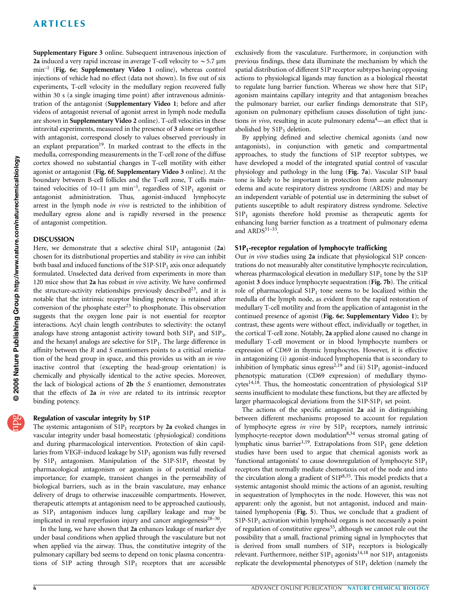# ARTICLES

Supplementary Figure 3 online. Subsequent intravenous injection of 2a induced a very rapid increase in average T-cell velocity to  $\sim$  5.7 µm min–1 (Fig. 6e; Supplementary Video 1 online), whereas control injections of vehicle had no effect (data not shown). In five out of six experiments, T-cell velocity in the medullary region recovered fully within 30 s (a single imaging time point) after intravenous administration of the antagonist (Supplementary Video 1; before and after videos of antagonist reversal of agonist arrest in lymph node medulla are shown in Supplementary Video 2 online). T-cell velocities in these intravital experiments, measured in the presence of 3 alone or together with antagonist, correspond closely to values observed previously in an explant preparation<sup>19</sup>. In marked contrast to the effects in the medulla, corresponding measurements in the T-cell zone of the diffuse cortex showed no substantial changes in T-cell motility with either agonist or antagonist (Fig. 6f; Supplementary Video 3 online). At the boundary between B-cell follicles and the T-cell zone, T cells maintained velocities of 10–11  $\mu$ m min<sup>-1</sup>, regardless of S1P<sub>1</sub> agonist or antagonist administration. Thus, agonist-induced lymphocyte arrest in the lymph node in vivo is restricted to the inhibition of medullary egress alone and is rapidly reversed in the presence of antagonist competition.

## **DISCUSSION**

Here, we demonstrate that a selective chiral  $\text{S1P}_1$  antagonist (2a) chosen for its distributional properties and stability in vivo can inhibit both basal and induced functions of the  $S1P-S1P<sub>1</sub>$  axis once adequately formulated. Unselected data derived from experiments in more than 120 mice show that 2a has robust in vivo activity. We have confirmed the structure-activity relationships previously described<sup>23</sup>, and it is notable that the intrinsic receptor binding potency is retained after conversion of the phosphate  $\text{ester}^{23}$  to phosphonate. This observation suggests that the oxygen lone pair is not essential for receptor interactions. Acyl chain length contributes to selectivity: the octanyl analogs have strong antagonist activity toward both  $S1P_1$  and  $S1P_3$ , and the hexanyl analogs are selective for  $S1P_1$ . The large difference in affinity between the  $R$  and  $S$  enantiomers points to a critical orientation of the head group in space, and this provides us with an in vivo inactive control that (excepting the head-group orientation) is chemically and physically identical to the active species. Moreover, the lack of biological actions of 2b the S enantiomer, demonstrates that the effects of 2a in vivo are related to its intrinsic receptor binding potency.

# Regulation of vascular integrity by S1P

The systemic antagonism of  $S1P_1$  receptors by 2a evoked changes in vascular integrity under basal homeostatic (physiological) conditions and during pharmacological intervention. Protection of skin capillaries from VEGF-induced leakage by  $S1P_1$  agonism was fully reversed by  $S1P_1$  antagonism. Manipulation of the  $S1P-S1P_1$  rheostat by pharmacological antagonism or agonism is of potential medical importance; for example, transient changes in the permeability of biological barriers, such as in the brain vasculature, may enhance delivery of drugs to otherwise inaccessible compartments. However, therapeutic attempts at antagonism need to be approached cautiously, as  $S1P_1$  antagonism induces lung capillary leakage and may be implicated in renal reperfusion injury and cancer angiogenesis $28-30$ .

In the lung, we have shown that 2a enhances leakage of marker dye under basal conditions when applied through the vasculature but not when applied via the airway. Thus, the constitutive integrity of the pulmonary capillary bed seems to depend on tonic plasma concentrations of S1P acting through  $S1P_1$  receptors that are accessible exclusively from the vasculature. Furthermore, in conjunction with previous findings, these data illuminate the mechanism by which the spatial distribution of different S1P receptor subtypes having opposing actions to physiological ligands may function as a biological rheostat to regulate lung barrier function. Whereas we show here that  $S1P_1$ agonism maintains capillary integrity and that antagonism breaches the pulmonary barrier, our earlier findings demonstrate that  $S1P_3$ agonism on pulmonary epithelium causes dissolution of tight junctions in vivo, resulting in acute pulmonary edema $4$ —an effect that is abolished by  $S1P_3$  deletion.

By applying defined and selective chemical agonists (and now antagonists), in conjunction with genetic and compartmental approaches, to study the functions of S1P receptor subtypes, we have developed a model of the integrated spatial control of vascular physiology and pathology in the lung (Fig. 7a). Vascular S1P basal tone is likely to be important in protection from acute pulmonary edema and acute respiratory distress syndrome (ARDS) and may be an independent variable of potential use in determining the subset of patients susceptible to adult respiratory distress syndrome. Selective  $S1P<sub>1</sub>$  agonists therefore hold promise as therapeutic agents for enhancing lung barrier function as a treatment of pulmonary edema and  $ARDS^{31-33}$ .

## $S1P_1$ -receptor regulation of lymphocyte trafficking

Our in vivo studies using 2a indicate that physiological S1P concentrations do not measurably alter constitutive lymphocyte recirculation, whereas pharmacological elevation in medullary  $S1P_1$  tone by the  $S1P$ agonist 3 does induce lymphocyte sequestration (Fig. 7b). The critical role of pharmacological  $S1P_1$  tone seems to be localized within the medulla of the lymph node, as evident from the rapid restoration of medullary T-cell motility and from the application of antagonist in the continued presence of agonist (Fig. 6e; Supplementary Video 1); by contrast, these agents were without effect, individually or together, in the cortical T-cell zone. Notably, 2a applied alone caused no change in medullary T-cell movement or in blood lymphocyte numbers or expression of CD69 in thymic lymphocytes. However, it is effective in antagonizing (i) agonist-induced lymphopenia that is secondary to inhibition of lymphatic sinus egress<sup>2,19</sup> and (ii)  $S1P_1$  agonist–induced phenotypic maturation (CD69 expression) of medullary thymocytes<sup>14,18</sup>. Thus, the homeostatic concentration of physiological S1P seems insufficient to modulate these functions, but they are affected by larger pharmacological deviations from the  $S1P-S1P<sub>1</sub>$  set point.

The actions of the specific antagonist 2a aid in distinguishing between different mechanisms proposed to account for regulation of lymphocyte egress in vivo by  $S1P_1$  receptors, namely intrinsic lymphocyte-receptor down modulation<sup>8,34</sup> versus stromal gating of lymphatic sinus barrier<sup>1,19</sup>. Extrapolations from  $S1P_1$  gene deletion studies have been used to argue that chemical agonists work as 'functional antagonists' to cause downregulation of lymphocyte  $S1P_1$ receptors that normally mediate chemotaxis out of the node and into the circulation along a gradient of S1P8,35. This model predicts that a systemic antagonist should mimic the actions of an agonist, resulting in sequestration of lymphocytes in the node. However, this was not apparent: only the agonist, but not antagonist, induced and maintained lymphopenia (Fig. 5). Thus, we conclude that a gradient of  $S1P-S1P<sub>1</sub>$  activation within lymphoid organs is not necessarily a point of regulation of constitutive egress<sup>35</sup>, although we cannot rule out the possibility that a small, fractional priming signal in lymphocytes that is derived from small numbers of  $S1P_1$  receptors is biologically relevant. Furthermore, neither  $S1P_1$  agonists<sup>14,18</sup> nor  $S1P_1$  antagonists replicate the developmental phenotypes of  $S1P_1$  deletion (namely the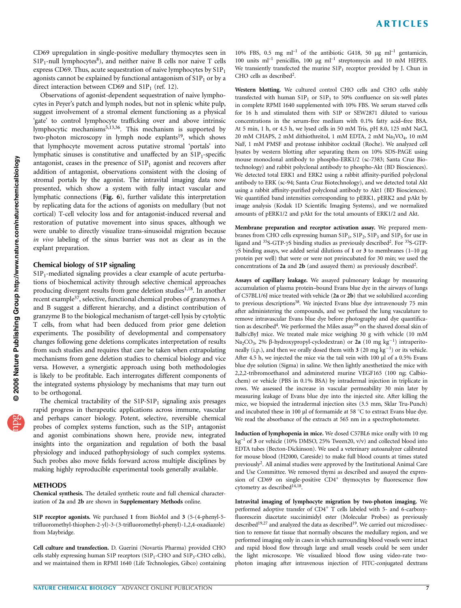CD69 upregulation in single-positive medullary thymocytes seen in  $S1P_1$ -null lymphocytes<sup>8</sup>), and neither naive B cells nor naive T cells express CD69. Thus, acute sequestration of naive lymphocytes by  $S1P_1$ agonists cannot be explained by functional antagonism of  $S1P_1$  or by a direct interaction between CD69 and  $S1P_1$  (ref. 12).

Observations of agonist-dependent sequestration of naive lymphocytes in Peyer's patch and lymph nodes, but not in splenic white pulp, suggest involvement of a stromal element functioning as a physical 'gate' to control lymphocyte trafficking over and above intrinsic lymphocytic mechanisms<sup>5,13,36</sup>. This mechanism is supported by two-photon microscopy in lymph node explants<sup>19</sup>, which shows that lymphocyte movement across putative stromal 'portals' into lymphatic sinuses is constitutive and unaffected by an S1P<sub>1</sub>-specific antagonist, ceases in the presence of  $S1P_1$  agonist and recovers after addition of antagonist, observations consistent with the closing of stromal portals by the agonist. The intravital imaging data now presented, which show a system with fully intact vascular and lymphatic connections (Fig. 6), further validate this interpretation by replicating data for the actions of agonists on medullary (but not cortical) T-cell velocity loss and for antagonist-induced reversal and restoration of putative movement into sinus spaces, although we were unable to directly visualize trans-sinusoidal migration because in vivo labeling of the sinus barrier was not as clear as in the explant preparation.

# Chemical biology of S1P signaling

 $S1P_1$ -mediated signaling provides a clear example of acute perturbations of biochemical activity through selective chemical approaches producing divergent results from gene deletion studies<sup>1,18</sup>. In another recent example<sup>37</sup>, selective, functional chemical probes of granzymes A and B suggest a different hierarchy, and a distinct contribution of granzyme B to the biological mechanism of target-cell lysis by cytolytic T cells, from what had been deduced from prior gene deletion experiments. The possibility of developmental and compensatory changes following gene deletions complicates interpretation of results from such studies and requires that care be taken when extrapolating mechanisms from gene deletion studies to chemical biology and vice versa. However, a synergistic approach using both methodologies is likely to be profitable. Each interrogates different components of the integrated systems physiology by mechanisms that may turn out to be orthogonal.

The chemical tractability of the  $S1P-S1P<sub>1</sub>$  signaling axis presages rapid progress in therapeutic applications across immune, vascular and perhaps cancer biology. Potent, selective, reversible chemical probes of complex systems function, such as the  $S1P_1$  antagonist and agonist combinations shown here, provide new, integrated insights into the organization and regulation of both the basal physiology and induced pathophysiology of such complex systems. Such probes also move fields forward across multiple disciplines by making highly reproducible experimental tools generally available.

#### **METHODS**

Chemical synthesis. The detailed synthetic route and full chemical characterization of 2a and 2b are shown in Supplementary Methods online.

S1P receptor agonists. We purchased 1 from BioMol and 3 (5-(4-phenyl-5 trifluoromethyl-thiophen-2-yl)-3-(3-trifluoromethyl-phenyl)-1,2,4-oxadiazole) from Maybridge.

Cell culture and transfection. D. Guerini (Novartis Pharma) provided CHO cells stably expressing human S1P receptors  $(S1P_1$ -CHO and  $S1P_3$ -CHO cells), and we maintained them in RPMI 1640 (Life Technologies, Gibco) containing 10% FBS, 0.5 mg ml<sup>-1</sup> of the antibiotic G418, 50 µg ml<sup>-1</sup> gentamicin, 100 units  $ml^{-1}$  penicillin, 100 µg  $ml^{-1}$  streptomycin and 10 mM HEPES. We transiently transfected the murine  $S1P_1$  receptor provided by J. Chun in CHO cells as described<sup>2</sup>.

Western blotting. We cultured control CHO cells and CHO cells stably transfected with human  $S1P_1$  or  $S1P_3$  to 50% confluence on six-well plates in complete RPMI 1640 supplemented with 10% FBS. We serum starved cells for 16 h and stimulated them with S1P or SEW2871 diluted to various concentrations in the serum-free medium with 0.1% fatty acid–free BSA. At 5 min, 1 h, or 4.5 h, we lysed cells in 50 mM Tris, pH 8.0, 125 mM NaCl, 20 mM CHAPS, 2 mM dithiothreitol, 1 mM EDTA, 2 mM Na<sub>3</sub>VO<sub>4</sub>, 10 mM NaF, 1 mM PMSF and protease inhibitor cocktail (Roche). We analyzed cell lysates by western blotting after separating them on 10% SDS-PAGE using mouse monoclonal antibody to phospho-ERK1/2 (sc-7383; Santa Cruz Biotechnology) and rabbit polyclonal antibody to phospho-Akt (BD Biosciences). We detected total ERK1 and ERK2 using a rabbit affinity-purified polyclonal antibody to ERK (sc-94; Santa Cruz Biotechnology), and we detected total Akt using a rabbit affinity-purified polyclonal antibody to Akt1 (BD Biosciences). We quantified band intensities corresponding to pERK1, pERK2 and pAkt by image analysis (Kodak 1D Scientific Imaging Systems), and we normalized amounts of pERK1/2 and pAkt for the total amounts of ERK1/2 and Akt.

Membrane preparation and receptor activation assay. We prepared membranes from CHO cells expressing human  $S1P_1$ ,  $S1P_2$ ,  $S1P_3$  and  $S1P_5$  for use in ligand and  $35S-GTP-\gamma S$  binding studies as previously described<sup>2</sup>. For  $35S-GTP$ - $\gamma$ S binding assays, we added serial dilutions of 1 or 3 to membranes (1–10 µg protein per well) that were or were not preincubated for 30 min; we used the concentrations of 2a and 2b (and assayed them) as previously described<sup>2</sup>.

Assays of capillary leakage. We assayed pulmonary leakage by measuring accumulation of plasma protein–bound Evans blue dye in the airways of lungs of C57BL1/6J mice treated with vehicle (2a or 2b) that we solubilized according to previous descriptions<sup>38</sup>. We injected Evans blue dye intravenously 75 min after administering the compounds, and we perfused the lung vasculature to remove intravascular Evans blue dye before photography and dye quantification as described<sup>4</sup>. We performed the Miles assay<sup>39</sup> on the shaved dorsal skin of Balb/cByJ mice. We treated male mice weighing 30 g with vehicle (10 mM Na<sub>2</sub>CO<sub>3</sub>, 2%  $\beta$ -hydroxypropyl-cyclodextran) or 2a (10 mg kg<sup>-1</sup>) intraperitoneally (i.p.), and then we orally dosed them with  $3(20 \text{ mg kg}^{-1})$  or its vehicle. After 4.5 h, we injected the mice via the tail vein with 100 µl of a 0.5% Evans blue dye solution (Sigma) in saline. We then lightly anesthetized the mice with 2,2,2-tribromoethanol and adminstered murine VEGF165 (100 ng; Calbiochem) or vehicle (PBS in 0.1% BSA) by intradermal injection in triplicate in rows. We assessed the increase in vascular permeability 30 min later by measuring leakage of Evans blue dye into the injected site. After killing the mice, we biopsied the intradermal injection sites (3.5 mm, Sklar Tru-Punch) and incubated these in 100  $\mu$ l of formamide at 58 °C to extract Evans blue dye. We read the absorbance of the extracts at 565 nm in a spectrophotometer.

Induction of lymphopenia in mice. We dosed C57BL6 mice orally with 10 mg  $kg^{-1}$  of 3 or vehicle (10% DMSO, 25% Tween20, v/v) and collected blood into EDTA tubes (Becton-Dickinson). We used a veterinary autoanalyzer calibrated for mouse blood (H2000, Careside) to make full blood counts at times stated previously2. All animal studies were approved by the Institutional Animal Care and Use Committee. We removed thymi as described and assayed the expression of CD69 on single-positive CD4<sup>+</sup> thymocytes by fluorescence flow cytometry as described<sup>14,18</sup>.

Intravital imaging of lymphocyte migration by two-photon imaging. We performed adoptive transfer of CD4<sup>+</sup> T cells labeled with 5- and 6-carboxyfluorescein diacetate succinimidyl ester (Molecular Probes) as previously described<sup>19,27</sup> and analyzed the data as described<sup>19</sup>. We carried out microdissection to remove fat tissue that normally obscures the medullary region, and we performed imaging only in cases in which surrounding blood vessels were intact and rapid blood flow through large and small vessels could be seen under the light microscope. We visualized blood flow using video-rate twophoton imaging after intravenous injection of FITC-conjugated dextrans